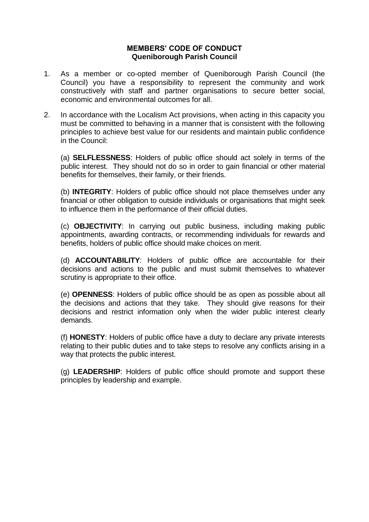# **MEMBERS' CODE OF CONDUCT Queniborough Parish Council**

- 1. As a member or co-opted member of Queniborough Parish Council (the Council) you have a responsibility to represent the community and work constructively with staff and partner organisations to secure better social, economic and environmental outcomes for all.
- 2. In accordance with the Localism Act provisions, when acting in this capacity you must be committed to behaving in a manner that is consistent with the following principles to achieve best value for our residents and maintain public confidence in the Council:

(a) **SELFLESSNESS**: Holders of public office should act solely in terms of the public interest. They should not do so in order to gain financial or other material benefits for themselves, their family, or their friends.

(b) **INTEGRITY**: Holders of public office should not place themselves under any financial or other obligation to outside individuals or organisations that might seek to influence them in the performance of their official duties.

(c) **OBJECTIVITY**: In carrying out public business, including making public appointments, awarding contracts, or recommending individuals for rewards and benefits, holders of public office should make choices on merit.

(d) **ACCOUNTABILITY**: Holders of public office are accountable for their decisions and actions to the public and must submit themselves to whatever scrutiny is appropriate to their office.

(e) **OPENNESS**: Holders of public office should be as open as possible about all the decisions and actions that they take. They should give reasons for their decisions and restrict information only when the wider public interest clearly demands.

(f) **HONESTY**: Holders of public office have a duty to declare any private interests relating to their public duties and to take steps to resolve any conflicts arising in a way that protects the public interest.

(g) **LEADERSHIP**: Holders of public office should promote and support these principles by leadership and example.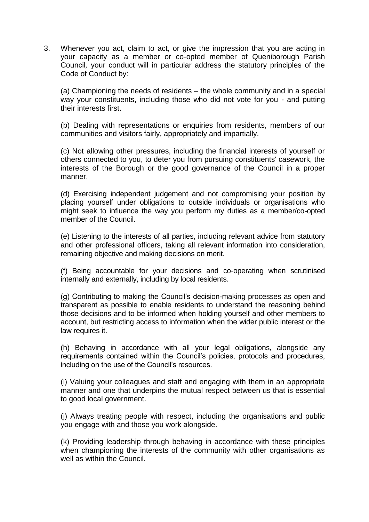3. Whenever you act, claim to act, or give the impression that you are acting in your capacity as a member or co-opted member of Queniborough Parish Council*,* your conduct will in particular address the statutory principles of the Code of Conduct by:

(a) Championing the needs of residents – the whole community and in a special way your constituents, including those who did not vote for you - and putting their interests first.

(b) Dealing with representations or enquiries from residents, members of our communities and visitors fairly, appropriately and impartially.

(c) Not allowing other pressures, including the financial interests of yourself or others connected to you, to deter you from pursuing constituents' casework, the interests of the Borough or the good governance of the Council in a proper manner.

(d) Exercising independent judgement and not compromising your position by placing yourself under obligations to outside individuals or organisations who might seek to influence the way you perform my duties as a member/co-opted member of the Council.

(e) Listening to the interests of all parties, including relevant advice from statutory and other professional officers, taking all relevant information into consideration, remaining objective and making decisions on merit.

(f) Being accountable for your decisions and co-operating when scrutinised internally and externally, including by local residents.

(g) Contributing to making the Council's decision-making processes as open and transparent as possible to enable residents to understand the reasoning behind those decisions and to be informed when holding yourself and other members to account, but restricting access to information when the wider public interest or the law requires it.

(h) Behaving in accordance with all your legal obligations, alongside any requirements contained within the Council's policies, protocols and procedures, including on the use of the Council's resources.

(i) Valuing your colleagues and staff and engaging with them in an appropriate manner and one that underpins the mutual respect between us that is essential to good local government.

(j) Always treating people with respect, including the organisations and public you engage with and those you work alongside.

(k) Providing leadership through behaving in accordance with these principles when championing the interests of the community with other organisations as well as within the Council.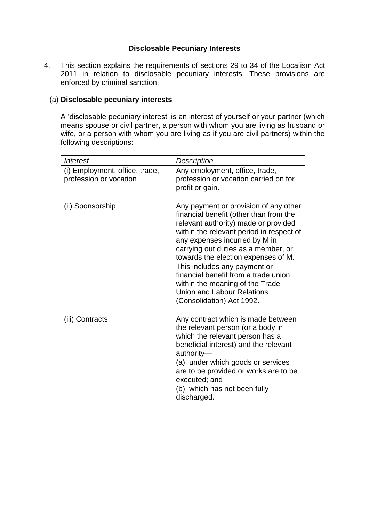# **Disclosable Pecuniary Interests**

4. This section explains the requirements of sections 29 to 34 of the Localism Act 2011 in relation to disclosable pecuniary interests. These provisions are enforced by criminal sanction.

# (a) **Disclosable pecuniary interests**

A 'disclosable pecuniary interest' is an interest of yourself or your partner (which means spouse or civil partner, a person with whom you are living as husband or wife, or a person with whom you are living as if you are civil partners) within the following descriptions:

| <b>Interest</b>                                          | Description                                                                                                                                                                                                                                                                                                                                                                                                                                                     |
|----------------------------------------------------------|-----------------------------------------------------------------------------------------------------------------------------------------------------------------------------------------------------------------------------------------------------------------------------------------------------------------------------------------------------------------------------------------------------------------------------------------------------------------|
| (i) Employment, office, trade,<br>profession or vocation | Any employment, office, trade,<br>profession or vocation carried on for<br>profit or gain.                                                                                                                                                                                                                                                                                                                                                                      |
| (ii) Sponsorship                                         | Any payment or provision of any other<br>financial benefit (other than from the<br>relevant authority) made or provided<br>within the relevant period in respect of<br>any expenses incurred by M in<br>carrying out duties as a member, or<br>towards the election expenses of M.<br>This includes any payment or<br>financial benefit from a trade union<br>within the meaning of the Trade<br><b>Union and Labour Relations</b><br>(Consolidation) Act 1992. |
| (iii) Contracts                                          | Any contract which is made between<br>the relevant person (or a body in<br>which the relevant person has a<br>beneficial interest) and the relevant<br>authority-<br>(a) under which goods or services<br>are to be provided or works are to be<br>executed; and<br>(b) which has not been fully<br>discharged.                                                                                                                                                 |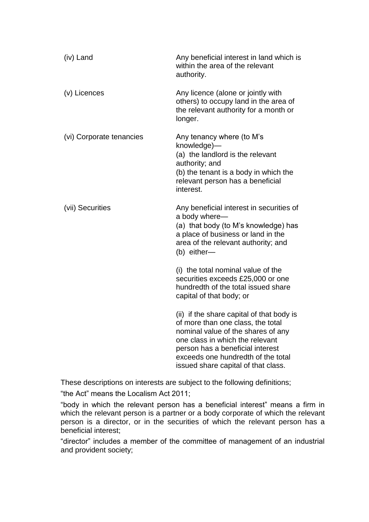| (iv) Land                | Any beneficial interest in land which is<br>within the area of the relevant<br>authority.                                                                                                                                                                                |
|--------------------------|--------------------------------------------------------------------------------------------------------------------------------------------------------------------------------------------------------------------------------------------------------------------------|
| (v) Licences             | Any licence (alone or jointly with<br>others) to occupy land in the area of<br>the relevant authority for a month or<br>longer.                                                                                                                                          |
| (vi) Corporate tenancies | Any tenancy where (to M's<br>knowledge)-<br>(a) the landlord is the relevant<br>authority; and<br>(b) the tenant is a body in which the<br>relevant person has a beneficial<br>interest.                                                                                 |
| (vii) Securities         | Any beneficial interest in securities of<br>a body where-<br>(a) that body (to M's knowledge) has<br>a place of business or land in the<br>area of the relevant authority; and<br>(b) either-                                                                            |
|                          | (i) the total nominal value of the<br>securities exceeds £25,000 or one<br>hundredth of the total issued share<br>capital of that body; or                                                                                                                               |
|                          | (ii) if the share capital of that body is<br>of more than one class, the total<br>nominal value of the shares of any<br>one class in which the relevant<br>person has a beneficial interest<br>exceeds one hundredth of the total<br>issued share capital of that class. |

These descriptions on interests are subject to the following definitions;

"the Act" means the Localism Act 2011;

"body in which the relevant person has a beneficial interest" means a firm in which the relevant person is a partner or a body corporate of which the relevant person is a director, or in the securities of which the relevant person has a beneficial interest;

"director" includes a member of the committee of management of an industrial and provident society;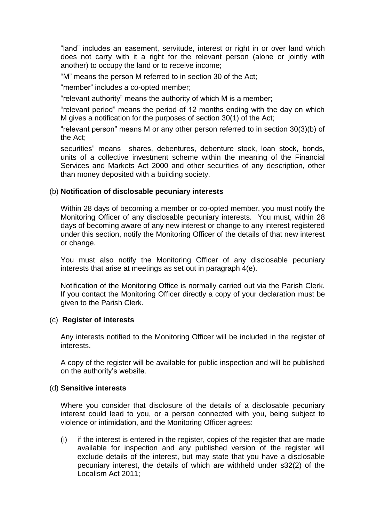"land" includes an easement, servitude, interest or right in or over land which does not carry with it a right for the relevant person (alone or jointly with another) to occupy the land or to receive income;

"M" means the person M referred to in section 30 of the Act;

"member" includes a co-opted member;

"relevant authority" means the authority of which M is a member;

"relevant period" means the period of 12 months ending with the day on which M gives a notification for the purposes of section 30(1) of the Act;

"relevant person" means M or any other person referred to in section 30(3)(b) of the Act;

securities" means shares, debentures, debenture stock, loan stock, bonds, units of a collective investment scheme within the meaning of the Financial Services and Markets Act 2000 and other securities of any description, other than money deposited with a building society.

#### (b) **Notification of disclosable pecuniary interests**

Within 28 days of becoming a member or co-opted member, you must notify the Monitoring Officer of any disclosable pecuniary interests. You must, within 28 days of becoming aware of any new interest or change to any interest registered under this section, notify the Monitoring Officer of the details of that new interest or change.

You must also notify the Monitoring Officer of any disclosable pecuniary interests that arise at meetings as set out in paragraph 4(e).

Notification of the Monitoring Office is normally carried out via the Parish Clerk. If you contact the Monitoring Officer directly a copy of your declaration must be given to the Parish Clerk.

#### (c) **Register of interests**

Any interests notified to the Monitoring Officer will be included in the register of interests.

A copy of the register will be available for public inspection and will be published on the authority's website.

#### (d) **Sensitive interests**

Where you consider that disclosure of the details of a disclosable pecuniary interest could lead to you, or a person connected with you, being subject to violence or intimidation, and the Monitoring Officer agrees:

(i) if the interest is entered in the register, copies of the register that are made available for inspection and any published version of the register will exclude details of the interest, but may state that you have a disclosable pecuniary interest, the details of which are withheld under s32(2) of the Localism Act 2011;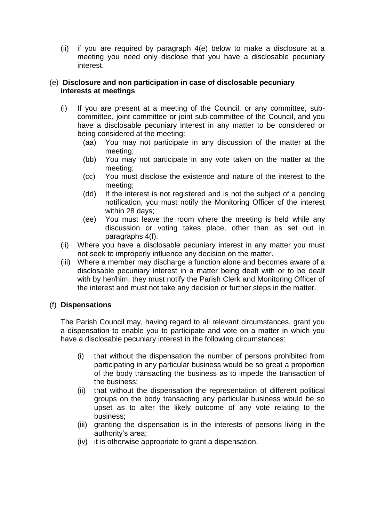(ii) if you are required by paragraph 4(e) below to make a disclosure at a meeting you need only disclose that you have a disclosable pecuniary interest.

### (e) **Disclosure and non participation in case of disclosable pecuniary interests at meetings**

- (i) If you are present at a meeting of the Council, or any committee, subcommittee, joint committee or joint sub-committee of the Council, and you have a disclosable pecuniary interest in any matter to be considered or being considered at the meeting:
	- (aa) You may not participate in any discussion of the matter at the meeting;
	- (bb) You may not participate in any vote taken on the matter at the meeting;
	- (cc) You must disclose the existence and nature of the interest to the meeting;
	- (dd) If the interest is not registered and is not the subject of a pending notification, you must notify the Monitoring Officer of the interest within 28 days;
	- (ee) You must leave the room where the meeting is held while any discussion or voting takes place, other than as set out in paragraphs 4(f).
- (ii) Where you have a disclosable pecuniary interest in any matter you must not seek to improperly influence any decision on the matter.
- (iii) Where a member may discharge a function alone and becomes aware of a disclosable pecuniary interest in a matter being dealt with or to be dealt with by her/him, they must notify the Parish Clerk and Monitoring Officer of the interest and must not take any decision or further steps in the matter.

# (f) **Dispensations**

The Parish Council may, having regard to all relevant circumstances, grant you a dispensation to enable you to participate and vote on a matter in which you have a disclosable pecuniary interest in the following circumstances:

- (i) that without the dispensation the number of persons prohibited from participating in any particular business would be so great a proportion of the body transacting the business as to impede the transaction of the business;
- (ii) that without the dispensation the representation of different political groups on the body transacting any particular business would be so upset as to alter the likely outcome of any vote relating to the business;
- (iii) granting the dispensation is in the interests of persons living in the authority's area;
- (iv) it is otherwise appropriate to grant a dispensation.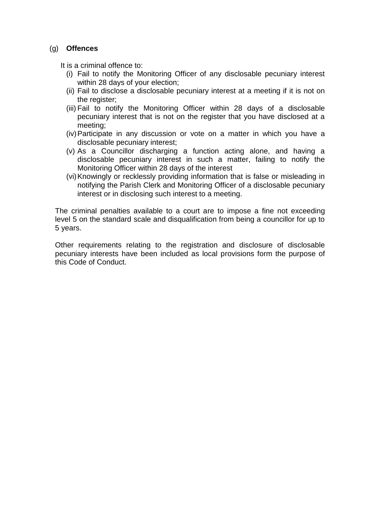## (g) **Offences**

It is a criminal offence to:

- (i) Fail to notify the Monitoring Officer of any disclosable pecuniary interest within 28 days of your election;
- (ii) Fail to disclose a disclosable pecuniary interest at a meeting if it is not on the register;
- (iii) Fail to notify the Monitoring Officer within 28 days of a disclosable pecuniary interest that is not on the register that you have disclosed at a meeting;
- (iv)Participate in any discussion or vote on a matter in which you have a disclosable pecuniary interest;
- (v) As a Councillor discharging a function acting alone, and having a disclosable pecuniary interest in such a matter, failing to notify the Monitoring Officer within 28 days of the interest
- (vi)Knowingly or recklessly providing information that is false or misleading in notifying the Parish Clerk and Monitoring Officer of a disclosable pecuniary interest or in disclosing such interest to a meeting.

The criminal penalties available to a court are to impose a fine not exceeding level 5 on the standard scale and disqualification from being a councillor for up to 5 years.

Other requirements relating to the registration and disclosure of disclosable pecuniary interests have been included as local provisions form the purpose of this Code of Conduct.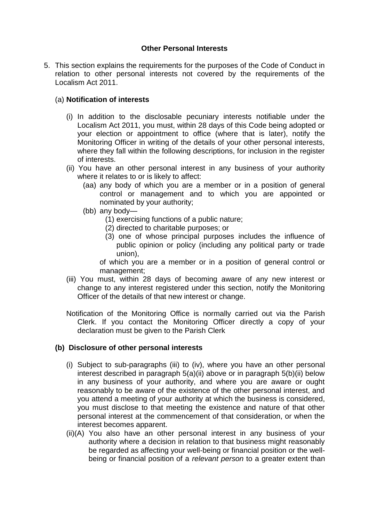# **Other Personal Interests**

5. This section explains the requirements for the purposes of the Code of Conduct in relation to other personal interests not covered by the requirements of the Localism Act 2011.

# (a) **Notification of interests**

- (i) In addition to the disclosable pecuniary interests notifiable under the Localism Act 2011, you must, within 28 days of this Code being adopted or your election or appointment to office (where that is later), notify the Monitoring Officer in writing of the details of your other personal interests, where they fall within the following descriptions, for inclusion in the register of interests.
- (ii) You have an other personal interest in any business of your authority where it relates to or is likely to affect:
	- (aa) any body of which you are a member or in a position of general control or management and to which you are appointed or nominated by your authority;
	- (bb) any body—
		- (1) exercising functions of a public nature;
		- (2) directed to charitable purposes; or
		- (3) one of whose principal purposes includes the influence of public opinion or policy (including any political party or trade union),

of which you are a member or in a position of general control or management;

- (iii) You must, within 28 days of becoming aware of any new interest or change to any interest registered under this section, notify the Monitoring Officer of the details of that new interest or change.
- Notification of the Monitoring Office is normally carried out via the Parish Clerk. If you contact the Monitoring Officer directly a copy of your declaration must be given to the Parish Clerk

### **(b) Disclosure of other personal interests**

- (i) Subject to sub-paragraphs (iii) to (iv), where you have an other personal interest described in paragraph 5(a)(ii) above or in paragraph 5(b)(ii) below in any business of your authority, and where you are aware or ought reasonably to be aware of the existence of the other personal interest, and you attend a meeting of your authority at which the business is considered, you must disclose to that meeting the existence and nature of that other personal interest at the commencement of that consideration, or when the interest becomes apparent.
- (ii)(A) You also have an other personal interest in any business of your authority where a decision in relation to that business might reasonably be regarded as affecting your well-being or financial position or the wellbeing or financial position of a *relevant person* to a greater extent than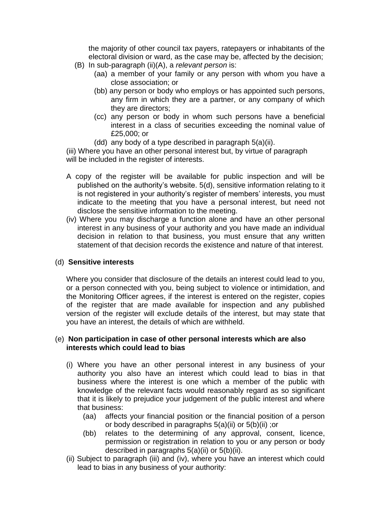the majority of other council tax payers, ratepayers or inhabitants of the electoral division or ward, as the case may be, affected by the decision;

- (B) In sub-paragraph (ii)(A), a *relevant person* is:
	- (aa) a member of your family or any person with whom you have a close association; or
	- (bb) any person or body who employs or has appointed such persons, any firm in which they are a partner, or any company of which they are directors;
	- (cc) any person or body in whom such persons have a beneficial interest in a class of securities exceeding the nominal value of £25,000; or
	- (dd) any body of a type described in paragraph 5(a)(ii).

(iii) Where you have an other personal interest but, by virtue of paragraph will be included in the register of interests.

- A copy of the register will be available for public inspection and will be published on the authority's website. 5(d), sensitive information relating to it is not registered in your authority's register of members' interests, you must indicate to the meeting that you have a personal interest, but need not disclose the sensitive information to the meeting.
- (iv) Where you may discharge a function alone and have an other personal interest in any business of your authority and you have made an individual decision in relation to that business, you must ensure that any written statement of that decision records the existence and nature of that interest.

### (d) **Sensitive interests**

Where you consider that disclosure of the details an interest could lead to you, or a person connected with you, being subject to violence or intimidation, and the Monitoring Officer agrees, if the interest is entered on the register, copies of the register that are made available for inspection and any published version of the register will exclude details of the interest, but may state that you have an interest, the details of which are withheld.

#### (e) **Non participation in case of other personal interests which are also interests which could lead to bias**

- (i) Where you have an other personal interest in any business of your authority you also have an interest which could lead to bias in that business where the interest is one which a member of the public with knowledge of the relevant facts would reasonably regard as so significant that it is likely to prejudice your judgement of the public interest and where that business:
	- (aa) affects your financial position or the financial position of a person or body described in paragraphs 5(a)(ii) or 5(b)(ii) ;or
	- (bb) relates to the determining of any approval, consent, licence, permission or registration in relation to you or any person or body described in paragraphs 5(a)(ii) or 5(b)(ii).
- (ii) Subject to paragraph (iii) and (iv), where you have an interest which could lead to bias in any business of your authority: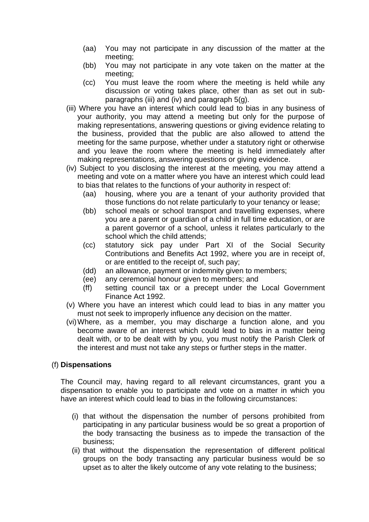- (aa) You may not participate in any discussion of the matter at the meeting;
- (bb) You may not participate in any vote taken on the matter at the meeting;
- (cc) You must leave the room where the meeting is held while any discussion or voting takes place, other than as set out in subparagraphs (iii) and (iv) and paragraph 5(g).
- (iii) Where you have an interest which could lead to bias in any business of your authority, you may attend a meeting but only for the purpose of making representations, answering questions or giving evidence relating to the business, provided that the public are also allowed to attend the meeting for the same purpose, whether under a statutory right or otherwise and you leave the room where the meeting is held immediately after making representations, answering questions or giving evidence.
- (iv) Subject to you disclosing the interest at the meeting, you may attend a meeting and vote on a matter where you have an interest which could lead to bias that relates to the functions of your authority in respect of:
	- (aa) housing, where you are a tenant of your authority provided that those functions do not relate particularly to your tenancy or lease;
	- (bb) school meals or school transport and travelling expenses, where you are a parent or guardian of a child in full time education, or are a parent governor of a school, unless it relates particularly to the school which the child attends;
	- (cc) statutory sick pay under Part XI of the Social Security Contributions and Benefits Act 1992, where you are in receipt of, or are entitled to the receipt of, such pay;
	- (dd) an allowance, payment or indemnity given to members;
	- (ee) any ceremonial honour given to members; and
	- (ff) setting council tax or a precept under the Local Government Finance Act 1992.
- (v) Where you have an interest which could lead to bias in any matter you must not seek to improperly influence any decision on the matter.
- (vi)Where, as a member, you may discharge a function alone, and you become aware of an interest which could lead to bias in a matter being dealt with, or to be dealt with by you, you must notify the Parish Clerk of the interest and must not take any steps or further steps in the matter.

### (f) **Dispensations**

The Council may, having regard to all relevant circumstances, grant you a dispensation to enable you to participate and vote on a matter in which you have an interest which could lead to bias in the following circumstances:

- (i) that without the dispensation the number of persons prohibited from participating in any particular business would be so great a proportion of the body transacting the business as to impede the transaction of the business;
- (ii) that without the dispensation the representation of different political groups on the body transacting any particular business would be so upset as to alter the likely outcome of any vote relating to the business;